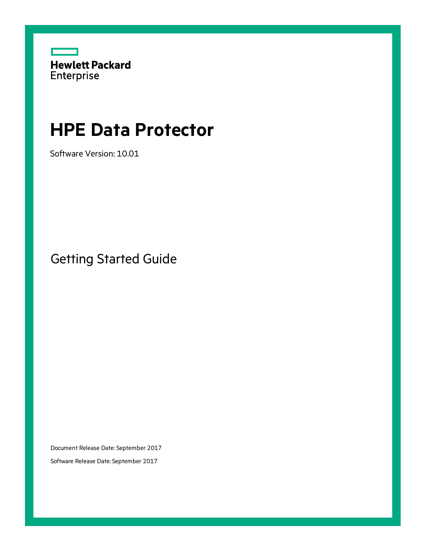

# **HPE Data Protector**

Software Version: 10.01

Getting Started Guide

Document Release Date: September 2017 Software Release Date: September 2017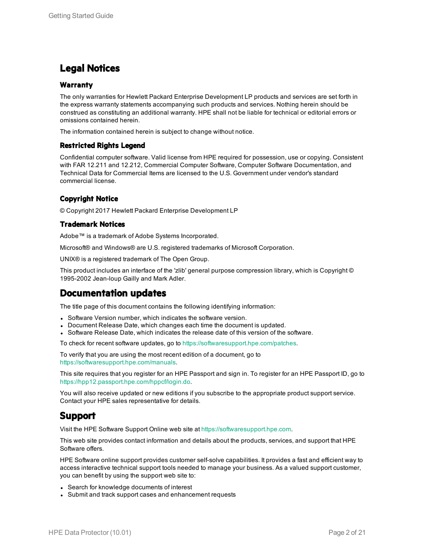### **Legal Notices**

#### **Warranty**

The only warranties for Hewlett Packard Enterprise Development LP products and services are set forth in the express warranty statements accompanying such products and services. Nothing herein should be construed as constituting an additional warranty. HPE shall not be liable for technical or editorial errors or omissions contained herein.

The information contained herein is subject to change without notice.

#### **Restricted Rights Legend**

Confidential computer software. Valid license from HPE required for possession, use or copying. Consistent with FAR 12.211 and 12.212, Commercial Computer Software, Computer Software Documentation, and Technical Data for Commercial Items are licensed to the U.S. Government under vendor's standard commercial license.

#### **Copyright Notice**

© Copyright 2017 Hewlett Packard Enterprise Development LP

#### **Trademark Notices**

Adobe™ is a trademark of Adobe Systems Incorporated.

Microsoft® and Windows® are U.S. registered trademarks of Microsoft Corporation.

UNIX® is a registered trademark of The Open Group.

This product includes an interface of the 'zlib' general purpose compression library, which is Copyright © 1995-2002 Jean-loup Gailly and Mark Adler.

### **Documentation updates**

The title page of this document contains the following identifying information:

- Software Version number, which indicates the software version.
- Document Release Date, which changes each time the document is updated.
- <sup>l</sup> Software Release Date, which indicates the release date of this version of the software.

To check for recent software updates, go to <https://softwaresupport.hpe.com/patches>.

To verify that you are using the most recent edition of a document, go to [https://softwaresupport.hpe.com/manuals.](https://softwaresupport.hpe.com/manuals)

This site requires that you register for an HPE Passport and sign in. To register for an HPE Passport ID, go to [https://hpp12.passport.hpe.com/hppcf/login.do.](https://hpp12.passport.hpe.com/hppcf/login.do)

You will also receive updated or new editions if you subscribe to the appropriate product support service. Contact your HPE sales representative for details.

### **Support**

Visit the HPE Software Support Online web site at [https://softwaresupport.hpe.com](https://softwaresupport.hpe.com/).

This web site provides contact information and details about the products, services, and support that HPE Software offers.

HPE Software online support provides customer self-solve capabilities. It provides a fast and efficient way to access interactive technical support tools needed to manage your business. As a valued support customer, you can benefit by using the support web site to:

- Search for knowledge documents of interest
- Submit and track support cases and enhancement requests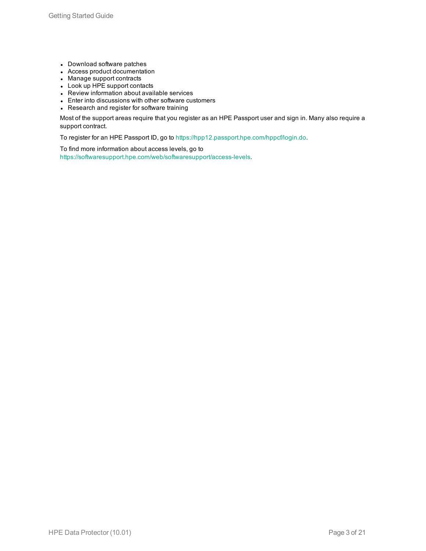- Download software patches
- Access product documentation
- Manage support contracts
- Look up HPE support contacts
- Review information about available services
- Enter into discussions with other software customers
- Research and register for software training

Most of the support areas require that you register as an HPE Passport user and sign in. Many also require a support contract.

To register for an HPE Passport ID, go to <https://hpp12.passport.hpe.com/hppcf/login.do>.

To find more information about access levels, go to <https://softwaresupport.hpe.com/web/softwaresupport/access-levels>.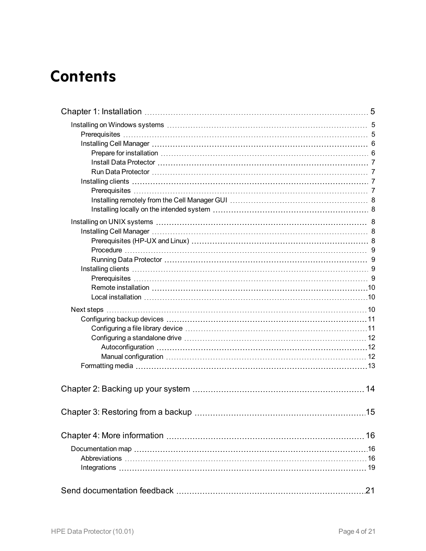# **Contents**

| .15 |
|-----|
| 16  |
|     |
|     |
|     |
|     |
|     |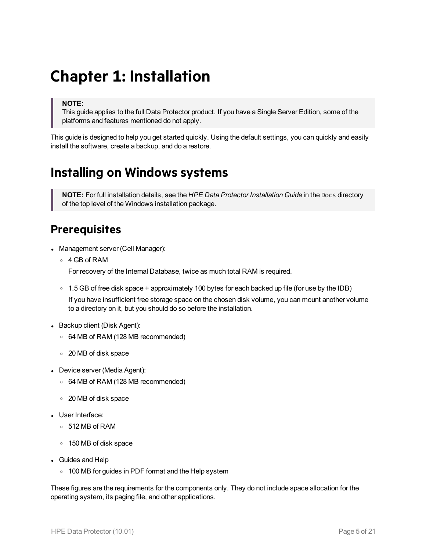# <span id="page-4-0"></span>**Chapter 1: Installation**

#### **NOTE:**

This guide applies to the full Data Protector product. If you have a Single Server Edition, some of the platforms and features mentioned do not apply.

This guide is designed to help you get started quickly. Using the default settings, you can quickly and easily install the software, create a backup, and do a restore.

## <span id="page-4-1"></span>**Installing on Windows systems**

**NOTE:** For full installation details, see the *HPE Data Protector Installation Guide* in the Docs directory of the top level of the Windows installation package.

## <span id="page-4-2"></span>**Prerequisites**

- Management server (Cell Manager):
	- <sup>o</sup> 4 GB of RAM

For recovery of the Internal Database, twice as much total RAM is required.

 $\circ$  1.5 GB of free disk space + approximately 100 bytes for each backed up file (for use by the IDB)

If you have insufficient free storage space on the chosen disk volume, you can mount another volume to a directory on it, but you should do so before the installation.

- Backup client (Disk Agent):
	- <sup>o</sup> 64 MB of RAM (128 MB recommended)
	- <sup>o</sup> 20 MB of disk space
- Device server (Media Agent):
	- <sup>o</sup> 64 MB of RAM (128 MB recommended)
	- <sup>o</sup> 20 MB of disk space
- User Interface:
	- <sup>o</sup> 512 MB of RAM
	- <sup>o</sup> 150 MB of disk space
- Guides and Help
	- <sup>o</sup> 100 MB for guides in PDF format and the Help system

These figures are the requirements for the components only. They do not include space allocation for the operating system, its paging file, and other applications.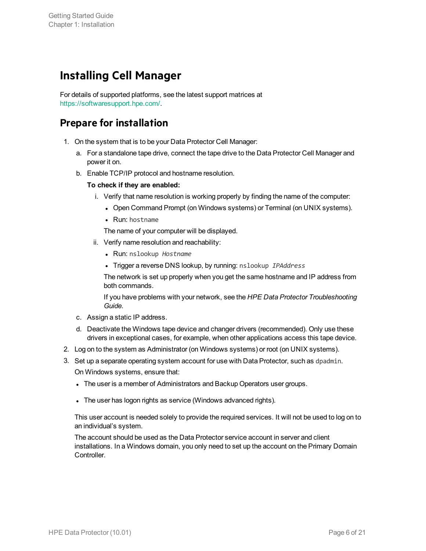## <span id="page-5-0"></span>**Installing Cell Manager**

For details of supported platforms, see the latest support matrices at <https://softwaresupport.hpe.com/>.

### <span id="page-5-1"></span>**Prepare for installation**

- 1. On the system that is to be your Data Protector Cell Manager:
	- a. For a standalone tape drive, connect the tape drive to the Data Protector Cell Manager and power it on.
	- b. Enable TCP/IP protocol and hostname resolution.

#### **To check if they are enabled:**

- i. Verify that name resolution is working properly by finding the name of the computer:
	- Open Command Prompt (on Windows systems) or Terminal (on UNIX systems).
	- $\cdot$  Run: hostname

The name of your computer will be displayed.

- ii. Verify name resolution and reachability:
	- **Run: nslookup** *Hostname*
	- <sup>l</sup> Trigger a reverse DNS lookup, by running: nslookup *IPAddress*

The network is set up properly when you get the same hostname and IP address from both commands.

If you have problems with your network, see the *HPE Data Protector Troubleshooting Guide*.

- c. Assign a static IP address.
- d. Deactivate the Windows tape device and changer drivers (recommended). Only use these drivers in exceptional cases, for example, when other applications access this tape device.
- 2. Log on to the system as Administrator (on Windows systems) or root (on UNIX systems).
- 3. Set up a separate operating system account for use with Data Protector, such as dpadmin.

On Windows systems, ensure that:

- The user is a member of Administrators and Backup Operators user groups.
- The user has logon rights as service (Windows advanced rights).

This user account is needed solely to provide the required services. It will not be used to log on to an individual's system.

The account should be used as the Data Protector service account in server and client installations. In a Windows domain, you only need to set up the account on the Primary Domain Controller.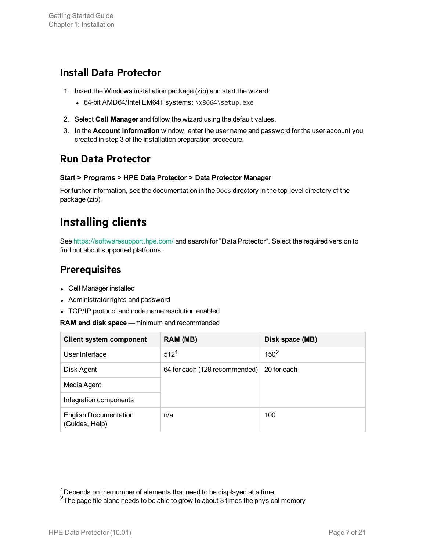### <span id="page-6-0"></span>**Install Data Protector**

- 1. Insert the Windows installation package (zip) and start the wizard:
	- 64-bit AMD64/Intel EM64T systems: \x8664\setup.exe
- 2. Select **Cell Manager** and follow the wizard using the default values.
- 3. In the **Account information** window, enter the user name and password for the user account you created in step 3 of the installation preparation procedure.

### <span id="page-6-1"></span>**Run Data Protector**

#### **Start > Programs > HPE Data Protector > Data Protector Manager**

For further information, see the documentation in the Docs directory in the top-level directory of the package (zip).

## <span id="page-6-2"></span>**Installing clients**

See <https://softwaresupport.hpe.com/> and search for "Data Protector". Select the required version to find out about supported platforms.

### <span id="page-6-3"></span>**Prerequisites**

- Cell Manager installed
- Administrator rights and password
- TCP/IP protocol and node name resolution enabled

**RAM and disk space** —minimum and recommended

| <b>Client system component</b>                 | RAM (MB)                      | Disk space (MB)  |  |  |
|------------------------------------------------|-------------------------------|------------------|--|--|
| User Interface                                 | 512 <sup>1</sup>              | 150 <sup>2</sup> |  |  |
| Disk Agent                                     | 64 for each (128 recommended) | 20 for each      |  |  |
| Media Agent                                    |                               |                  |  |  |
| Integration components                         |                               |                  |  |  |
| <b>English Documentation</b><br>(Guides, Help) | n/a                           | 100              |  |  |

<sup>&</sup>lt;sup>1</sup>Depends on the number of elements that need to be displayed at a time.

 $2$ The page file alone needs to be able to grow to about 3 times the physical memory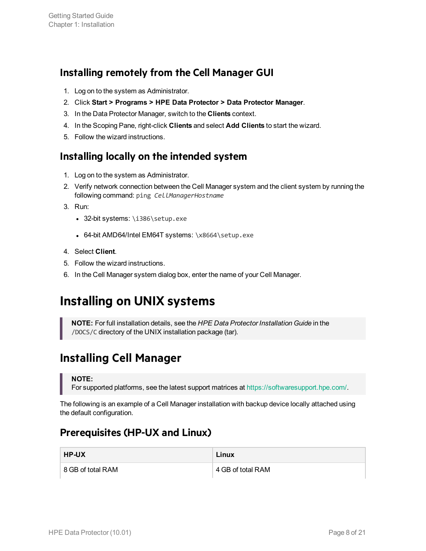### <span id="page-7-0"></span>**Installing remotely from the Cell Manager GUI**

- 1. Log on to the system as Administrator.
- 2. Click **Start > Programs > HPE Data Protector > Data Protector Manager**.
- 3. In the Data Protector Manager, switch to the **Clients** context.
- 4. In the Scoping Pane, right-click **Clients** and select **Add Clients** to start the wizard.
- <span id="page-7-1"></span>5. Follow the wizard instructions.

### **Installing locally on the intended system**

- 1. Log on to the system as Administrator.
- 2. Verify network connection between the Cell Manager system and the client system by running the following command: ping *CellManagerHostname*
- 3. Run:
	- 32-bit systems: \i386\setup.exe
	- 64-bit AMD64/Intel EM64T systems: \x8664\setup.exe
- 4. Select **Client**.
- 5. Follow the wizard instructions.
- <span id="page-7-2"></span>6. In the Cell Manager system dialog box, enter the name of your Cell Manager.

## **Installing on UNIX systems**

**NOTE:** For full installation details, see the *HPE Data Protector Installation Guide* in the /DOCS/C directory of the UNIX installation package (tar).

## <span id="page-7-3"></span>**Installing Cell Manager**

#### **NOTE:**

For supported platforms, see the latest support matrices at [https://softwaresupport.hpe.com/.](https://softwaresupport.hpe.com/)

The following is an example of a Cell Manager installation with backup device locally attached using the default configuration.

## <span id="page-7-4"></span>**Prerequisites (HP-UX and Linux)**

| <b>HP-UX</b>      | Linux             |
|-------------------|-------------------|
| 8 GB of total RAM | 4 GB of total RAM |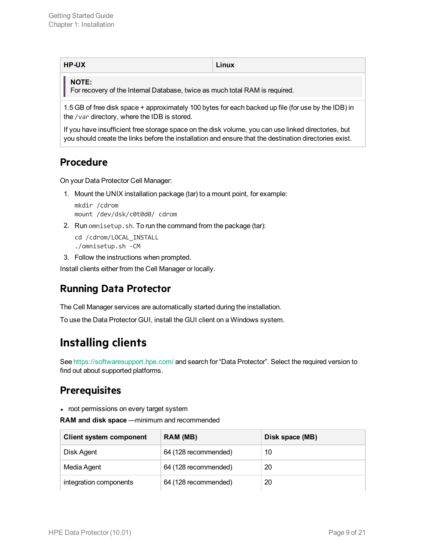| HP-UX                                                                                                                                               | Linux |  |  |  |  |  |
|-----------------------------------------------------------------------------------------------------------------------------------------------------|-------|--|--|--|--|--|
| <b>NOTE:</b><br>For recovery of the Internal Database, twice as much total RAM is required.                                                         |       |  |  |  |  |  |
| 1.5 GB of free disk space + approximately 100 bytes for each backed up file (for use by the IDB) in<br>the /var directory, where the IDB is stored. |       |  |  |  |  |  |
| If you have insufficient free storage space on the disk volume, you can use linked directories, but                                                 |       |  |  |  |  |  |

you should create the links before the installation and ensure that the destination directories exist.

### <span id="page-8-0"></span>**Procedure**

On your Data Protector Cell Manager:

1. Mount the UNIX installation package (tar) to a mount point, for example:

```
mkdir /cdrom
mount /dev/dsk/c0t0d0/ cdrom
```
2. Run omnisetup.sh. To run the command from the package (tar):

```
cd /cdrom/LOCAL_INSTALL
./omnisetup.sh -CM
```
3. Follow the instructions when prompted.

<span id="page-8-1"></span>Install clients either from the Cell Manager or locally.

## **Running Data Protector**

The Cell Manager services are automatically started during the installation.

<span id="page-8-2"></span>To use the Data Protector GUI, install the GUI client on a Windows system.

## **Installing clients**

See <https://softwaresupport.hpe.com/> and search for "Data Protector". Select the required version to find out about supported platforms.

## <span id="page-8-3"></span>**Prerequisites**

• root permissions on every target system

**RAM and disk space** —minimum and recommended

| <b>Client system component</b> | RAM (MB)             | Disk space (MB) |
|--------------------------------|----------------------|-----------------|
| Disk Agent                     | 64 (128 recommended) | 10              |
| Media Agent                    | 64 (128 recommended) | 20              |
| integration components         | 64 (128 recommended) | 20              |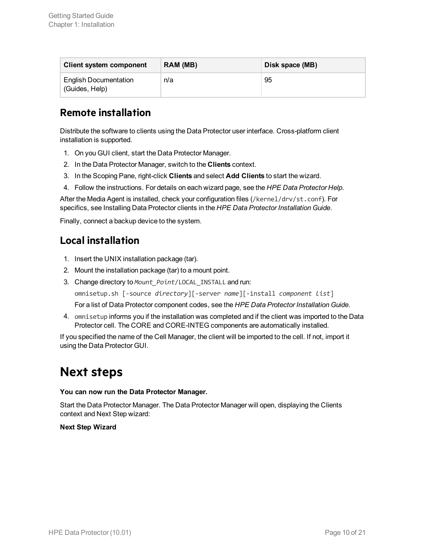| <b>Client system component</b>                 | RAM (MB) | Disk space (MB) |
|------------------------------------------------|----------|-----------------|
| <b>English Documentation</b><br>(Guides, Help) | n/a      | 95              |

### <span id="page-9-0"></span>**Remote installation**

Distribute the software to clients using the Data Protector user interface. Cross-platform client installation is supported.

- 1. On you GUI client, start the Data Protector Manager.
- 2. In the Data Protector Manager, switch to the **Clients** context.
- 3. In the Scoping Pane, right-click **Clients** and select **Add Clients** to start the wizard.
- 4. Follow the instructions. For details on each wizard page, see the *HPE Data Protector Help*.

After the Media Agent is installed, check your configuration files (/kernel/drv/st.conf). For specifics, see Installing Data Protector clients in the *HPE Data Protector Installation Guide*.

<span id="page-9-1"></span>Finally, connect a backup device to the system.

### **Local installation**

- 1. Insert the UNIX installation package (tar).
- 2. Mount the installation package (tar) to a mount point.
- 3. Change directory to *Mount\_Point*/LOCAL\_INSTALL and run:

omnisetup.sh [-source *directory*][-server *name*][-install *component list*]

For a list of Data Protector component codes, see the *HPE Data Protector Installation Guide*.

4. omnisetup informs you if the installation was completed and if the client was imported to the Data Protector cell. The CORE and CORE-INTEG components are automatically installed.

If you specified the name of the Cell Manager, the client will be imported to the cell. If not, import it using the Data Protector GUI.

## <span id="page-9-2"></span>**Next steps**

#### **You can now run the Data Protector Manager.**

Start the Data Protector Manager. The Data Protector Manager will open, displaying the Clients context and Next Step wizard:

#### **Next Step Wizard**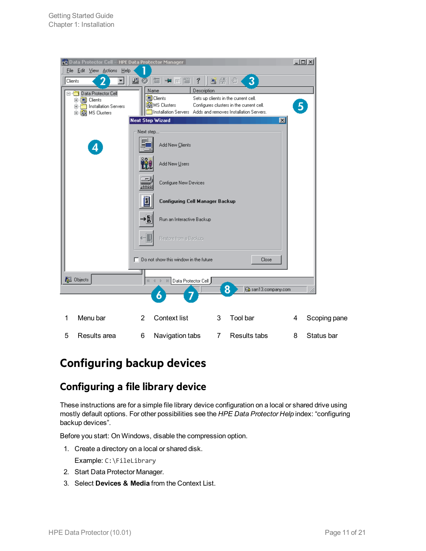|   | File Edit View Actions Help                                         | 80 Data Protector Cell - HPE Data Protector Manager                                                                                                                                                         | $-101 \times$       |
|---|---------------------------------------------------------------------|-------------------------------------------------------------------------------------------------------------------------------------------------------------------------------------------------------------|---------------------|
|   | Clients                                                             | 3 <sup>1</sup><br>重 番 回<br>盟の国中国国<br>3<br>Name<br>Description                                                                                                                                               |                     |
|   | Data Protector Cell<br>由-圓 Clients<br><b>E</b> -<br>由 图 MS Clusters | <b>可Clients</b><br>Sets up clients in the current cell.<br><b>But</b> MS Clusters<br>Configures clusters in the current cell.<br>Installation Servers Adds and removes Installation Servers.                | 5                   |
|   |                                                                     | <b>Next Step Wizard</b><br>Next step<br>Add New Clients<br>Add New Users<br>=<br>Configure New Devices<br>,0000<br>$\boxed{3}$<br><b>Configuring Cell Manager Backup</b><br>→∦<br>Run an Interactive Backup | $\vert x \vert$     |
|   |                                                                     | Restore from a Backup<br>$\Box$ Do not show this window in the future                                                                                                                                       | Close               |
|   | 編 Objects                                                           | Data Protector Cell<br>$N = 4$<br>$\mathbb N$<br>8<br>6                                                                                                                                                     | Cosan13.company.com |
| 1 | Menu bar                                                            | <b>Context list</b><br>$\overline{2}$<br>Tool bar<br>3                                                                                                                                                      | Scoping pane<br>4   |
| 5 | Results area                                                        | 6<br>Navigation tabs<br>Results tabs<br>7                                                                                                                                                                   | 8<br>Status bar     |

## <span id="page-10-0"></span>**Configuring backup devices**

## <span id="page-10-1"></span>**Configuring a file library device**

These instructions are for a simple file library device configuration on a local or shared drive using mostly default options. For other possibilities see the *HPE Data Protector Help* index: "configuring backup devices".

Before you start: On Windows, disable the compression option.

1. Create a directory on a local or shared disk.

Example: C:\FileLibrary

- 2. Start Data Protector Manager.
- 3. Select **Devices & Media** from the Context List.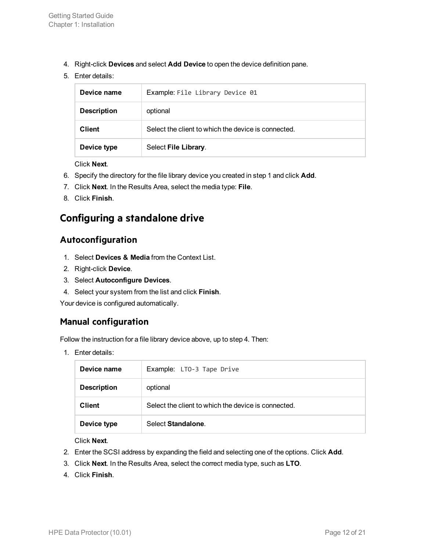- 4. Right-click **Devices** and select **Add Device** to open the device definition pane.
- 5. Enter details:

| Device name        | Example: File Library Device 01                     |
|--------------------|-----------------------------------------------------|
| <b>Description</b> | optional                                            |
| <b>Client</b>      | Select the client to which the device is connected. |
| Device type        | Select File Library.                                |

Click **Next**.

- 6. Specify the directory for the file library device you created in step 1 and click **Add**.
- 7. Click **Next**. In the Results Area, select the media type: **File**.
- <span id="page-11-0"></span>8. Click **Finish**.

### **Configuring a standalone drive**

### <span id="page-11-1"></span>**Autoconfiguration**

- 1. Select **Devices & Media** from the Context List.
- 2. Right-click **Device**.
- 3. Select **Autoconfigure Devices**.
- 4. Select your system from the list and click **Finish**.

<span id="page-11-2"></span>Your device is configured automatically.

### **Manual configuration**

Follow the instruction for a file library device above, up to step 4. Then:

1. Enter details:

| Device name        | Example: LTO-3 Tape Drive                           |
|--------------------|-----------------------------------------------------|
| <b>Description</b> | optional                                            |
| <b>Client</b>      | Select the client to which the device is connected. |
| Device type        | Select Standalone                                   |

Click **Next**.

- 2. Enter the SCSI address by expanding the field and selecting one of the options. Click **Add**.
- 3. Click **Next**. In the Results Area, select the correct media type, such as **LTO**.
- 4. Click **Finish**.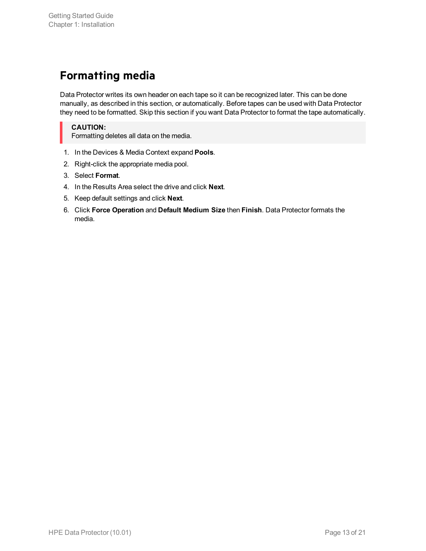## <span id="page-12-0"></span>**Formatting media**

Data Protector writes its own header on each tape so it can be recognized later. This can be done manually, as described in this section, or automatically. Before tapes can be used with Data Protector they need to be formatted. Skip this section if you want Data Protector to format the tape automatically.

#### **CAUTION:**

Formatting deletes all data on the media.

- 1. In the Devices & Media Context expand **Pools**.
- 2. Right-click the appropriate media pool.
- 3. Select **Format**.
- 4. In the Results Area select the drive and click **Next**.
- 5. Keep default settings and click **Next**.
- 6. Click **Force Operation** and **Default Medium Size** then **Finish**. Data Protector formats the media.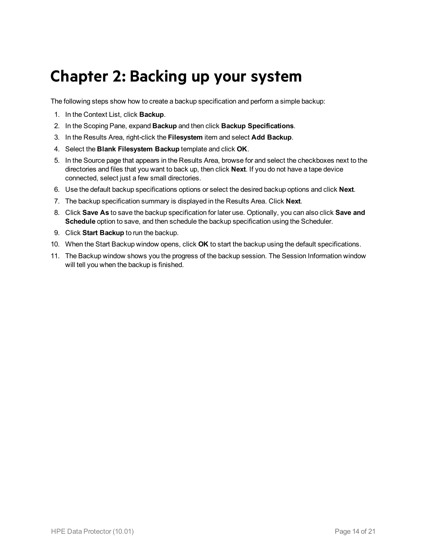# <span id="page-13-0"></span>**Chapter 2: Backing up your system**

The following steps show how to create a backup specification and perform a simple backup:

- 1. In the Context List, click **Backup**.
- 2. In the Scoping Pane, expand **Backup** and then click **Backup Specifications**.
- 3. In the Results Area, right-click the **Filesystem** item and select **Add Backup**.
- 4. Select the **Blank Filesystem Backup** template and click **OK**.
- 5. In the Source page that appears in the Results Area, browse for and select the checkboxes next to the directories and files that you want to back up, then click **Next**. If you do not have a tape device connected, select just a few small directories.
- 6. Use the default backup specifications options or select the desired backup options and click **Next**.
- 7. The backup specification summary is displayed in the Results Area. Click **Next**.
- 8. Click **Save As** to save the backup specification for later use. Optionally, you can also click **Save and Schedule** option to save, and then schedule the backup specification using the Scheduler.
- 9. Click **Start Backup** to run the backup.
- 10. When the Start Backup window opens, click **OK** to start the backup using the default specifications.
- 11. The Backup window shows you the progress of the backup session. The Session Information window will tell you when the backup is finished.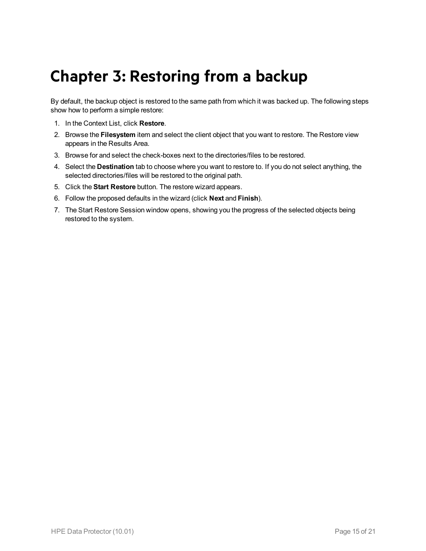# <span id="page-14-0"></span>**Chapter 3: Restoring from a backup**

By default, the backup object is restored to the same path from which it was backed up. The following steps show how to perform a simple restore:

- 1. In the Context List, click **Restore**.
- 2. Browse the **Filesystem** item and select the client object that you want to restore. The Restore view appears in the Results Area.
- 3. Browse for and select the check-boxes next to the directories/files to be restored.
- 4. Select the **Destination** tab to choose where you want to restore to. If you do not select anything, the selected directories/files will be restored to the original path.
- 5. Click the **Start Restore** button. The restore wizard appears.
- 6. Follow the proposed defaults in the wizard (click **Next** and **Finish**).
- 7. The Start Restore Session window opens, showing you the progress of the selected objects being restored to the system.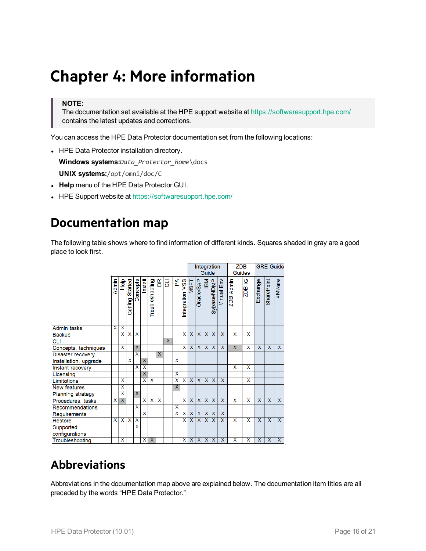# <span id="page-15-0"></span>**Chapter 4: More information**

#### **NOTE:**

The documentation set available at the HPE support website at <https://softwaresupport.hpe.com/> contains the latest updates and corrections.

You can access the HPE Data Protector documentation set from the following locations:

• HPE Data Protector installation directory.

**Windows systems:***Data\_Protector\_home*\docs

**UNIX systems:**/opt/omni/doc/C

- **.** Help menu of the HPE Data Protector GUI.
- <span id="page-15-1"></span>• HPE Support website at <https://softwaresupport.hpe.com/>

## **Documentation map**

The following table shows where to find information of different kinds. Squares shaded in gray are a good place to look first.

|                          |                         |                         |                         |                         |                         |                         |                         |                         |                         |                         |                         | Integration             | Guide                   |                         |                         |                         | ZDB<br><b>Guides</b>    |                         |                         | <b>GRE Guide</b>        |
|--------------------------|-------------------------|-------------------------|-------------------------|-------------------------|-------------------------|-------------------------|-------------------------|-------------------------|-------------------------|-------------------------|-------------------------|-------------------------|-------------------------|-------------------------|-------------------------|-------------------------|-------------------------|-------------------------|-------------------------|-------------------------|
|                          | Admin                   | 을                       | Started<br>Getting      | Concepts                | linstall                | Troubleshooting         | R                       | 긍                       | 준                       | Integration VSS         | <b>MSFT</b>             | Oracle/SAP              | MBI                     | Sybase/NDMP             | <b>Virtual Env</b>      | ZDB Admin               | <b>ZDBIG</b>            | Exchange                | SharePoint              | VMware                  |
| <b>Admin tasks</b>       | X                       | $\overline{\mathsf{x}}$ |                         |                         |                         |                         |                         |                         |                         |                         |                         |                         |                         |                         |                         |                         |                         |                         |                         |                         |
| <b>Backup</b>            |                         | $\overline{\mathsf{x}}$ | $\overline{\mathsf{x}}$ | $\overline{\mathsf{x}}$ |                         |                         |                         |                         |                         | $\overline{\mathsf{x}}$ | $\overline{\mathsf{x}}$ | $\overline{\mathsf{x}}$ | $\overline{\mathsf{x}}$ | $\overline{\mathsf{x}}$ | $\overline{\mathsf{x}}$ | $\overline{\mathsf{x}}$ | $\overline{\mathsf{x}}$ |                         |                         |                         |
| CLI                      |                         |                         |                         |                         |                         |                         |                         | $\overline{\mathsf{x}}$ |                         |                         |                         |                         |                         |                         |                         |                         |                         |                         |                         |                         |
| Concepts, techniques     |                         | $\overline{\mathsf{x}}$ |                         | $\overline{\textsf{x}}$ |                         |                         |                         |                         |                         | $\overline{\mathsf{x}}$ | $\overline{\mathsf{x}}$ | $\overline{\mathsf{x}}$ | $\overline{\mathsf{x}}$ | $\overline{\mathsf{x}}$ | $\overline{\mathsf{x}}$ | $\overline{\mathsf{x}}$ | $\overline{\mathsf{x}}$ | $\overline{\mathsf{x}}$ | $\overline{\mathsf{x}}$ | $\overline{\mathsf{x}}$ |
| <b>Disaster recovery</b> |                         |                         |                         | $\overline{\mathsf{x}}$ |                         |                         | $\overline{\mathsf{x}}$ |                         |                         |                         |                         |                         |                         |                         |                         |                         |                         |                         |                         |                         |
| Installation, upgrade    |                         |                         | $\overline{\mathsf{x}}$ |                         | $\overline{\mathsf{x}}$ |                         |                         |                         | $\overline{\mathsf{x}}$ |                         |                         |                         |                         |                         |                         |                         |                         |                         |                         |                         |
| Instant recovery         |                         |                         |                         | $\overline{\mathsf{x}}$ | $\overline{\mathsf{x}}$ |                         |                         |                         |                         |                         |                         |                         |                         |                         |                         | $\overline{\mathsf{x}}$ | $\overline{\mathsf{x}}$ |                         |                         |                         |
| Licensing                |                         |                         |                         |                         | $\overline{\mathsf{x}}$ |                         |                         |                         | $\overline{\mathsf{x}}$ |                         |                         |                         |                         |                         |                         |                         |                         |                         |                         |                         |
| Limitations              |                         | $\overline{\mathsf{x}}$ |                         |                         | $\overline{\mathsf{x}}$ | $\overline{\mathsf{x}}$ |                         |                         | $\overline{\textsf{x}}$ | $\overline{\mathsf{x}}$ | $\overline{\mathsf{x}}$ | $\overline{\mathsf{x}}$ | $\overline{\mathsf{x}}$ | $\overline{\mathsf{x}}$ | $\overline{\mathsf{x}}$ |                         | $\overline{\mathsf{x}}$ |                         |                         |                         |
| New features             |                         | $\overline{\mathsf{x}}$ |                         |                         |                         |                         |                         |                         | $\overline{\mathsf{x}}$ |                         |                         |                         |                         |                         |                         |                         |                         |                         |                         |                         |
| Planning strategy        |                         | $\overline{\mathsf{x}}$ |                         | $\overline{\mathsf{x}}$ |                         |                         |                         |                         |                         |                         |                         |                         |                         |                         |                         |                         |                         |                         |                         |                         |
| Procedures, tasks        | $\overline{\mathsf{x}}$ | $\overline{\mathsf{x}}$ |                         |                         | $\overline{\mathsf{x}}$ | $\overline{\mathsf{x}}$ | $\overline{\mathsf{x}}$ |                         |                         | $\overline{\mathsf{x}}$ | $\overline{\mathsf{x}}$ | $\overline{\mathsf{x}}$ | $\overline{\mathsf{x}}$ | $\overline{\mathsf{x}}$ | $\overline{\mathsf{x}}$ | $\overline{\mathsf{x}}$ | $\overline{\mathbf{x}}$ | $\overline{\mathsf{x}}$ | $\overline{\mathsf{x}}$ | $\overline{\mathsf{x}}$ |
| Recommendations          |                         |                         |                         | $\overline{\mathsf{x}}$ |                         |                         |                         |                         | $\overline{\mathsf{x}}$ |                         |                         |                         |                         |                         |                         |                         |                         |                         |                         |                         |
| Requirements             |                         |                         |                         |                         | $\overline{\textsf{x}}$ |                         |                         |                         | $\overline{\mathsf{x}}$ | $\overline{\mathsf{x}}$ | $\overline{\mathsf{x}}$ | $\overline{\mathsf{x}}$ | $\overline{\mathsf{x}}$ | $\overline{\mathsf{x}}$ | $\overline{\mathsf{x}}$ |                         |                         |                         |                         |                         |
| Restore                  | $\overline{\mathsf{x}}$ | $\overline{\mathsf{x}}$ | $\overline{\mathsf{x}}$ | $\overline{\mathsf{x}}$ |                         |                         |                         |                         |                         | $\overline{\mathsf{x}}$ | $\overline{\mathsf{x}}$ | $\overline{\mathsf{x}}$ | $\overline{\mathsf{x}}$ | $\overline{\mathsf{x}}$ | $\overline{\mathsf{x}}$ | $\overline{\mathsf{x}}$ | $\overline{\mathsf{x}}$ | $\overline{\mathsf{x}}$ | $\overline{\mathsf{x}}$ | $\overline{\mathsf{x}}$ |
| Supported                |                         |                         |                         | $\overline{\mathsf{x}}$ |                         |                         |                         |                         |                         |                         |                         |                         |                         |                         |                         |                         |                         |                         |                         |                         |
| configurations           |                         |                         |                         |                         |                         |                         |                         |                         |                         |                         |                         |                         |                         |                         |                         |                         |                         |                         |                         |                         |
| Troubleshooting          |                         | $\overline{\mathsf{x}}$ |                         |                         | $\overline{\mathsf{x}}$ | $\overline{\mathsf{x}}$ |                         |                         |                         | $\overline{\mathsf{x}}$ | $\vert x \vert$         | $\overline{\mathsf{x}}$ | $\overline{\mathsf{x}}$ | $\overline{\mathbf{x}}$ | $\overline{\mathsf{x}}$ | $\overline{\mathsf{x}}$ | $\overline{\mathsf{x}}$ | $\overline{\mathsf{x}}$ | $\overline{\mathsf{x}}$ | $\overline{\mathsf{x}}$ |

## <span id="page-15-2"></span>**Abbreviations**

Abbreviations in the documentation map above are explained below. The documentation item titles are all preceded by the words "HPE Data Protector."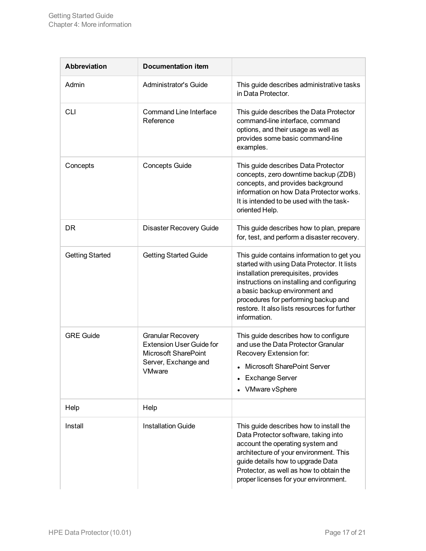| Abbreviation           | <b>Documentation item</b>                                                                                                    |                                                                                                                                                                                                                                                                                                                           |
|------------------------|------------------------------------------------------------------------------------------------------------------------------|---------------------------------------------------------------------------------------------------------------------------------------------------------------------------------------------------------------------------------------------------------------------------------------------------------------------------|
| Admin                  | Administrator's Guide                                                                                                        | This guide describes administrative tasks<br>in Data Protector.                                                                                                                                                                                                                                                           |
| <b>CLI</b>             | Command Line Interface<br>Reference                                                                                          | This guide describes the Data Protector<br>command-line interface, command<br>options, and their usage as well as<br>provides some basic command-line<br>examples.                                                                                                                                                        |
| Concepts               | <b>Concepts Guide</b>                                                                                                        | This guide describes Data Protector<br>concepts, zero downtime backup (ZDB)<br>concepts, and provides background<br>information on how Data Protector works.<br>It is intended to be used with the task-<br>oriented Help.                                                                                                |
| <b>DR</b>              | <b>Disaster Recovery Guide</b>                                                                                               | This guide describes how to plan, prepare<br>for, test, and perform a disaster recovery.                                                                                                                                                                                                                                  |
| <b>Getting Started</b> | <b>Getting Started Guide</b>                                                                                                 | This guide contains information to get you<br>started with using Data Protector. It lists<br>installation prerequisites, provides<br>instructions on installing and configuring<br>a basic backup environment and<br>procedures for performing backup and<br>restore. It also lists resources for further<br>information. |
| <b>GRE Guide</b>       | <b>Granular Recovery</b><br><b>Extension User Guide for</b><br>Microsoft SharePoint<br>Server, Exchange and<br><b>VMware</b> | This guide describes how to configure<br>and use the Data Protector Granular<br>Recovery Extension for:<br>• Microsoft SharePoint Server<br>• Exchange Server<br>VMware vSphere                                                                                                                                           |
| Help                   | Help                                                                                                                         |                                                                                                                                                                                                                                                                                                                           |
| Install                | <b>Installation Guide</b>                                                                                                    | This guide describes how to install the<br>Data Protector software, taking into<br>account the operating system and<br>architecture of your environment. This<br>guide details how to upgrade Data<br>Protector, as well as how to obtain the<br>proper licenses for your environment.                                    |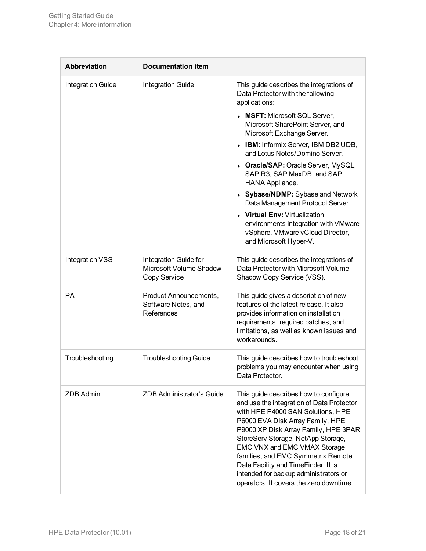| Abbreviation             | <b>Documentation item</b>                                        |                                                                                                                                                                                                                                                                                                                                                                                                                                           |
|--------------------------|------------------------------------------------------------------|-------------------------------------------------------------------------------------------------------------------------------------------------------------------------------------------------------------------------------------------------------------------------------------------------------------------------------------------------------------------------------------------------------------------------------------------|
| <b>Integration Guide</b> | <b>Integration Guide</b>                                         | This guide describes the integrations of<br>Data Protector with the following<br>applications:                                                                                                                                                                                                                                                                                                                                            |
|                          |                                                                  | <b>MSFT: Microsoft SQL Server,</b><br>$\bullet$<br>Microsoft SharePoint Server, and<br>Microsoft Exchange Server.                                                                                                                                                                                                                                                                                                                         |
|                          |                                                                  | <b>IBM:</b> Informix Server, IBM DB2 UDB,<br>$\bullet$<br>and Lotus Notes/Domino Server.                                                                                                                                                                                                                                                                                                                                                  |
|                          |                                                                  | Oracle/SAP: Oracle Server, MySQL,<br>$\bullet$<br>SAP R3, SAP MaxDB, and SAP<br>HANA Appliance.                                                                                                                                                                                                                                                                                                                                           |
|                          |                                                                  | Sybase/NDMP: Sybase and Network<br>$\bullet$<br>Data Management Protocol Server.                                                                                                                                                                                                                                                                                                                                                          |
|                          |                                                                  | Virtual Env: Virtualization<br>environments integration with VMware<br>vSphere, VMware vCloud Director,<br>and Microsoft Hyper-V.                                                                                                                                                                                                                                                                                                         |
| <b>Integration VSS</b>   | Integration Guide for<br>Microsoft Volume Shadow<br>Copy Service | This guide describes the integrations of<br>Data Protector with Microsoft Volume<br>Shadow Copy Service (VSS).                                                                                                                                                                                                                                                                                                                            |
| PA                       | Product Announcements,<br>Software Notes, and<br>References      | This guide gives a description of new<br>features of the latest release. It also<br>provides information on installation<br>requirements, required patches, and<br>limitations, as well as known issues and<br>workarounds.                                                                                                                                                                                                               |
| Troubleshooting          | <b>Troubleshooting Guide</b>                                     | This guide describes how to troubleshoot<br>problems you may encounter when using<br>Data Protector.                                                                                                                                                                                                                                                                                                                                      |
| <b>ZDB Admin</b>         | <b>ZDB Administrator's Guide</b>                                 | This guide describes how to configure<br>and use the integration of Data Protector<br>with HPE P4000 SAN Solutions, HPE<br>P6000 EVA Disk Array Family, HPE<br>P9000 XP Disk Array Family, HPE 3PAR<br>StoreServ Storage, NetApp Storage,<br>EMC VNX and EMC VMAX Storage<br>families, and EMC Symmetrix Remote<br>Data Facility and TimeFinder. It is<br>intended for backup administrators or<br>operators. It covers the zero downtime |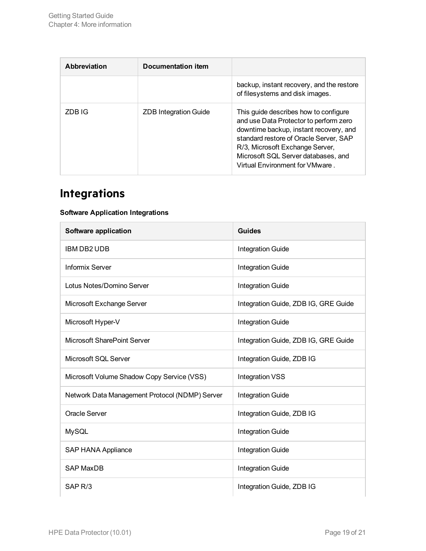| <b>Abbreviation</b> | Documentation item           |                                                                                                                                                                                                                                                                                  |
|---------------------|------------------------------|----------------------------------------------------------------------------------------------------------------------------------------------------------------------------------------------------------------------------------------------------------------------------------|
|                     |                              | backup, instant recovery, and the restore<br>of filesystems and disk images.                                                                                                                                                                                                     |
| ZDB IG              | <b>ZDB Integration Guide</b> | This guide describes how to configure<br>and use Data Protector to perform zero<br>downtime backup, instant recovery, and<br>standard restore of Oracle Server, SAP<br>R/3, Microsoft Exchange Server,<br>Microsoft SQL Server databases, and<br>Virtual Environment for VMware. |

## <span id="page-18-0"></span>**Integrations**

### **Software Application Integrations**

| Software application                           | Guides                               |
|------------------------------------------------|--------------------------------------|
| <b>IBM DB2 UDB</b>                             | <b>Integration Guide</b>             |
| <b>Informix Server</b>                         | <b>Integration Guide</b>             |
| Lotus Notes/Domino Server                      | <b>Integration Guide</b>             |
| Microsoft Exchange Server                      | Integration Guide, ZDB IG, GRE Guide |
| Microsoft Hyper-V                              | <b>Integration Guide</b>             |
| Microsoft SharePoint Server                    | Integration Guide, ZDB IG, GRE Guide |
| Microsoft SQL Server                           | Integration Guide, ZDB IG            |
| Microsoft Volume Shadow Copy Service (VSS)     | <b>Integration VSS</b>               |
| Network Data Management Protocol (NDMP) Server | <b>Integration Guide</b>             |
| <b>Oracle Server</b>                           | Integration Guide, ZDB IG            |
| <b>MySQL</b>                                   | <b>Integration Guide</b>             |
| <b>SAP HANA Appliance</b>                      | <b>Integration Guide</b>             |
| <b>SAP MaxDB</b>                               | <b>Integration Guide</b>             |
| SAP <sub>R/3</sub>                             | Integration Guide, ZDB IG            |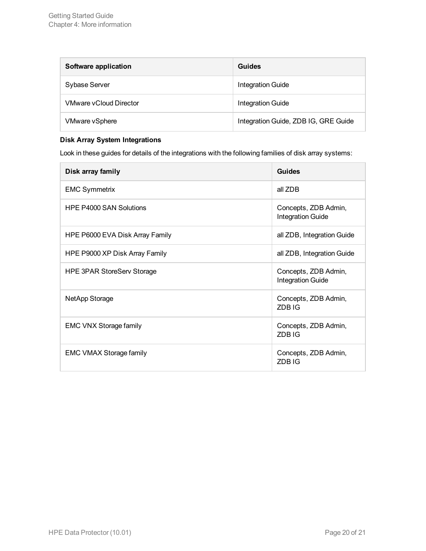| Software application          | Guides                               |
|-------------------------------|--------------------------------------|
| Sybase Server                 | <b>Integration Guide</b>             |
| <b>VMware vCloud Director</b> | <b>Integration Guide</b>             |
| VMware vSphere                | Integration Guide, ZDB IG, GRE Guide |

### **Disk Array System Integrations**

Look in these guides for details of the integrations with the following families of disk array systems:

| Disk array family                 | <b>Guides</b>                                    |
|-----------------------------------|--------------------------------------------------|
| <b>EMC Symmetrix</b>              | all ZDB                                          |
| HPE P4000 SAN Solutions           | Concepts, ZDB Admin,<br><b>Integration Guide</b> |
| HPE P6000 EVA Disk Array Family   | all ZDB, Integration Guide                       |
| HPE P9000 XP Disk Array Family    | all ZDB, Integration Guide                       |
| <b>HPE 3PAR StoreServ Storage</b> | Concepts, ZDB Admin,<br><b>Integration Guide</b> |
| <b>NetApp Storage</b>             | Concepts, ZDB Admin,<br>ZDB IG                   |
| <b>EMC VNX Storage family</b>     | Concepts, ZDB Admin,<br>ZDB IG                   |
| <b>EMC VMAX Storage family</b>    | Concepts, ZDB Admin,<br>ZDB IG                   |